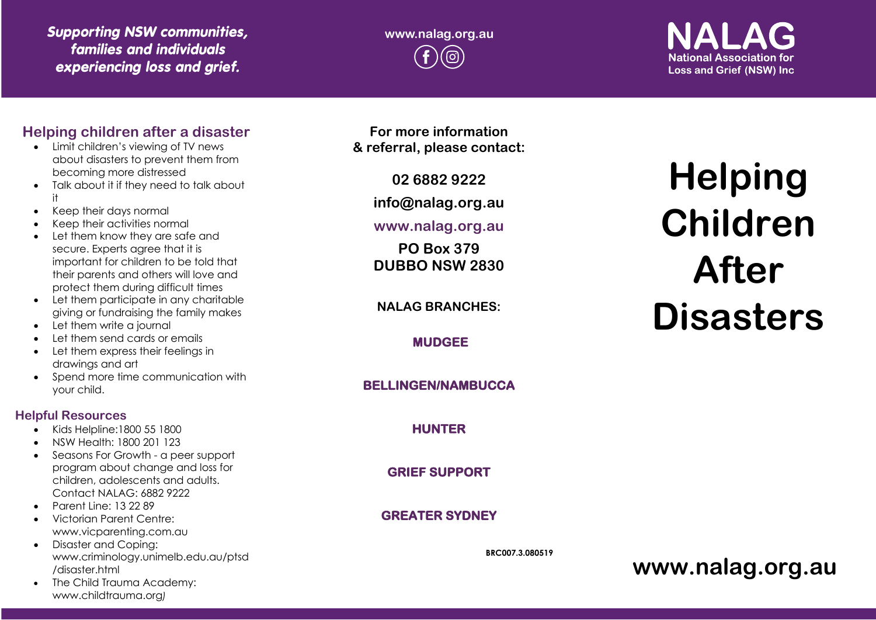# *Supporting NSW communities, families and individuals experiencing loss and grief.*

**www.nalag.org.au** രി

# **National Association for Loss and Grief (NSW) Inc.**

# **Helping children after a disaster**

- Limit children's viewing of TV news about disasters to prevent them from becoming more distressed
- Talk about it if they need to talk about it
- Keep their days normal
- Keep their activities normal
- Let them know they are safe and secure. Experts agree that it is important for children to be told that their parents and others will love and protect them during difficult times
- Let them participate in any charitable giving or fundraising the family makes
- Let them write a journal
- Let them send cards or emails
- Let them express their feelings in drawings and art
- Spend more time communication with your child.

#### **Helpful Resources**

- Kids Helpline:1800 55 1800
- NSW Health: 1800 201 123
- Seasons For Growth a peer support program about change and loss for children, adolescents and adults. Contact NALAG: 6882 9222
- Parent Line: 13 22 89
- Victorian Parent Centre: www.vicparenting.com.au
- Disaster and Coping: www.criminology.unimelb.edu.au/ptsd /disaster.html
- The Child Trauma Academy: www.childtrauma.org *)*

**For more information & referral, please contact:**

**02 6882 9222**

**info@nalag.org.au**

#### **www.nalag.org.au**

**PO Box 379 DUBBO NSW 2830**

**NALAG BRANCHES:**

**MUDGEE** 

#### **BELLINGEN/NAMBUCCA**

# **HUNTER**

**GRIEF SUPPORT** 

# **GREATER SYDNEY**

**BRC007.3.080519**

# **Helping Children After Disasters**

**www.nalag.org.au**